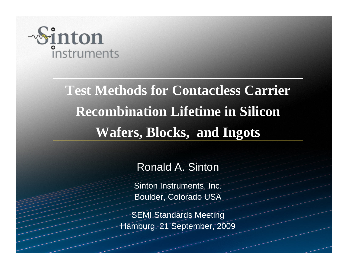

# **Test Methods for Contactless Carrier Recombination Lifetime in Silicon Wafers, Blocks, and Ingots**

Ronald A. Sinton

Sinton Instruments, Inc. Boulder, Colorado USA

SEMI Standards Meeting Hamburg, 21 September, 2009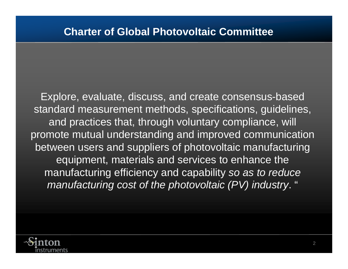Explore, evaluate, discuss, and create consensus-based standard measurement methods, specifications, guidelines, and practices that, through voluntary compliance, will promote mutual understanding and improved communication between users and suppliers of photovoltaic manufacturing equipment, materials and services to enhance the manufacturing efficiency and capability *so as to reduce manufacturing cost of the photovoltaic (PV) industry*. "

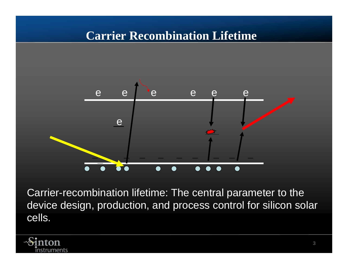# **Carrier Recombination Lifetime**



Carrier-recombination lifetime: The central parameter to the device design, production, and process control for silicon solar cells.

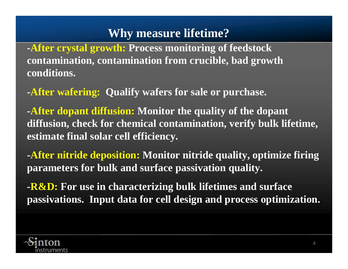# **Why measure lifetime?**

**-After crystal growth: Process monitoring of feedstock contamination, contamination from crucible, bad growth conditions.** 

**-After wafering: Qualify wafers for sale or purchase.**

**-After dopant diffusion: Monitor the quality of the dopant diffusion, check for chemical contamination, verify bulk lifetime, estimate final solar cell efficiency.**

**-After nitride deposition: Monitor nitride quality, optimize firing parameters for bulk and surface passivation quality.**

**-R&D: For use in characterizing bulk lifetimes and surface passivations. Input data for cell design and process optimization.**

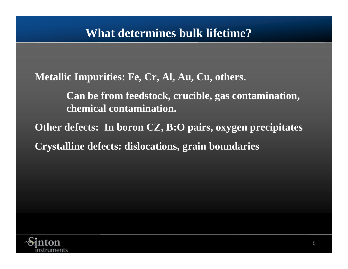**Metallic Impurities: Fe, Cr, Al, Au, Cu, others.**

**Can be from feedstock, crucible, gas contamination, chemical contamination.**

**Other defects: In boron CZ, B:O pairs, oxygen precipitates Crystalline defects: dislocations, grain boundaries**

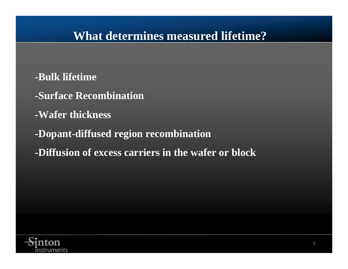# **What determines measured lifetime?**

- **-Bulk lifetime**
- **-Surface Recombination**
- **-Wafer thickness**
- **-Dopant-diffused region recombination**
- **-Diffusion of excess carriers in the wafer or block**

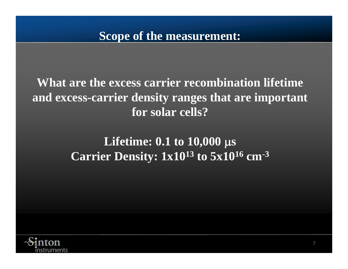**What are the excess carrier recombination lifetime and excess-carrier density ranges that are important for solar cells?** 

# **Lifetime: 0.1 to 10,000**  μ**s Carrier Density: 1x1013 to 5x1016 cm-3**

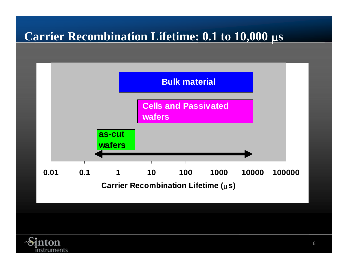# **Carrier Recombination Lifetime: 0.1 to 10,000**  μ **s**



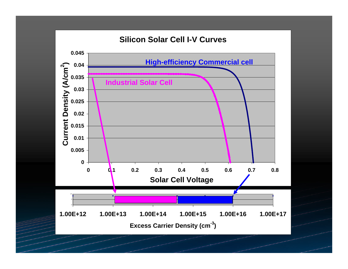#### **Silicon Solar Cell I-V Curves**

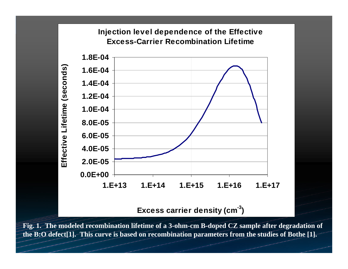#### **Injection level dependence of the Effective Excess-Carrier Recombination Lifetime**



**Excess carrier density (cm-3)**

**Fig. 1. The modeled recombination lifetime of a 3-ohm-cm B-doped CZ sample after degradation of the B:O defect[1]. This curve is based on recombination parameters from the studies of Bothe [1].**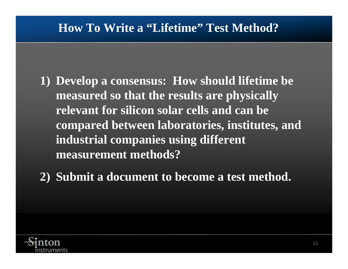# **How To Write a "Lifetime" Test Method?**

- **1) Develop a consensus: How should lifetime be measured so that the results are physically relevant for silicon solar cells and can be compared between laboratories, institutes, and industrial companies using different measurement methods?**
- **2) Submit a document to become a test method.**

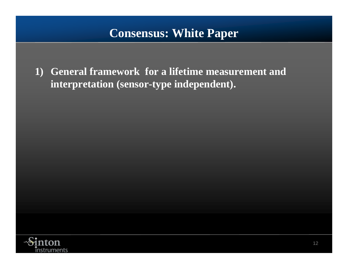# **Consensus: White Paper**

**1) General framework for a lifetime measurement and interpretation (sensor-type independent).**

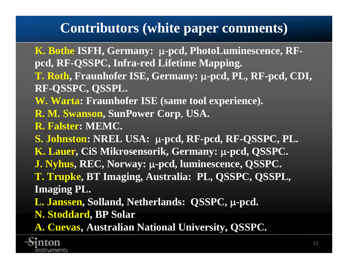# **Contributors (white paper comments)**

**K. Bothe ISFH, Germany:**  μ**-pcd, PhotoLuminescence, RFpcd, RF-QSSPC, Infra-red Lifetime Mapping.**

**T. Roth, Fraunhofer ISE, Germany:**  μ**-pcd, PL, RF-pcd, CDI, RF-QSSPC, QSSPL.**

**W. Warta: Fraunhofer ISE (same tool experience).**

**R. M. Swanson, SunPower Corp**, **USA.**

**R. Falster: MEMC.**

**S. Johnston: NREL USA:**  μ**-pcd, RF-pcd, RF-QSSPC, PL. K. Lauer, CiS Mikrosensorik, Germany:**  μ**-pcd, QSSPC. J. Nyhus, REC, Norway:**  μ**-pcd, luminescence, QSSPC. T. Trupke, BT Imaging, Australia: PL, QSSPC, QSSPL, Imaging PL.**

**L. Janssen, Solland, Netherlands: QSSPC,**  μ**-pcd. N. Stoddard, BP Solar**

**A. Cuevas, Australian National University, QSSPC.**

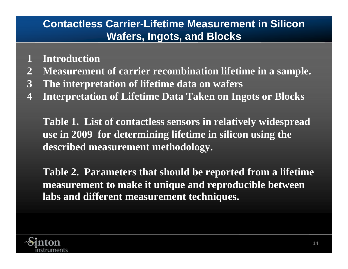# **Contactless Carrier-Lifetime Measurement in Silicon Wafers, Ingots, and Blocks**

- **1 Introduction**
- **2 Measurement of carrier recombination lifetime in a sample.**
- **3 The interpretation of lifetime data on wafers**
- **4 Interpretation of Lifetime Data Taken on Ingots or Blocks**

**Table 1. List of contactless sensors in relatively widespread use in 2009 for determining lifetime in silicon using the described measurement methodology.**

**Table 2. Parameters that should be reported from a lifetime measurement to make it unique and reproducible between labs and different measurement techniques.**

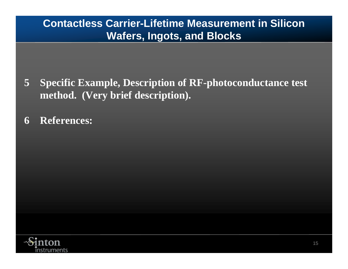# **Contactless Carrier-Lifetime Measurement in Silicon Wafers, Ingots, and Blocks**

- **5 Specific Example, Description of RF-photoconductance test method. (Very brief description).**
- **6 References:**

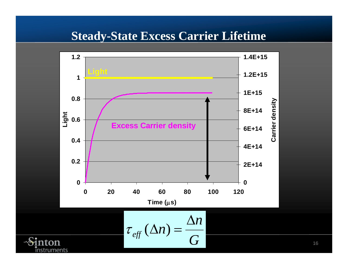# **Steady-State Excess Carrier Lifetime**



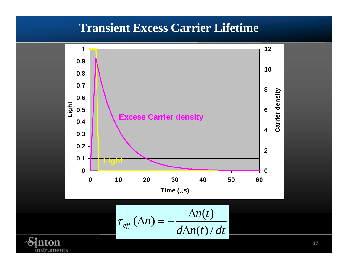# **Transient Excess Carrier Lifetime**



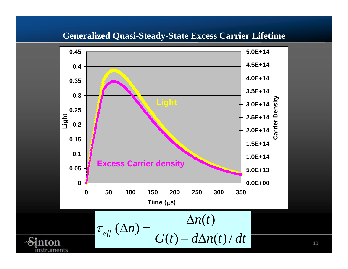### **Generalized Quasi-Steady-State Excess Carrier Lifetime**

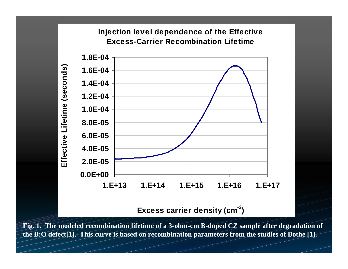#### **Injection level dependence of the Effective Excess-Carrier Recombination Lifetime**



**Excess carrier density (cm-3)**

**Fig. 1. The modeled recombination lifetime of a 3-ohm-cm B-doped CZ sample after degradation of the B:O defect[1]. This curve is based on recombination parameters from the studies of Bothe [1].**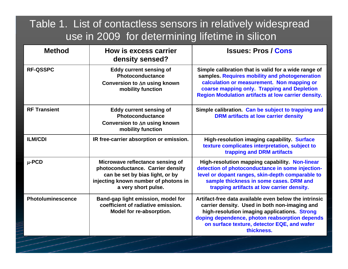## Table 1. List of contactless sensors in relatively widespread use in 2009 for determining lifetime in silicon

| <b>Method</b>            | How is excess carrier<br>density sensed?                                                                                                                                | <b>Issues: Pros / Cons</b>                                                                                                                                                                                                                                            |
|--------------------------|-------------------------------------------------------------------------------------------------------------------------------------------------------------------------|-----------------------------------------------------------------------------------------------------------------------------------------------------------------------------------------------------------------------------------------------------------------------|
| <b>RF-QSSPC</b>          | <b>Eddy current sensing of</b><br>Photoconductance<br>Conversion to ∆n using known<br>mobility function                                                                 | Simple calibration that is valid for a wide range of<br>samples. Requires mobility and photogeneration<br>calculation or measurement. Non mapping or<br>coarse mapping only. Trapping and Depletion<br><b>Region Modulation artifacts at low carrier density.</b>     |
| <b>RF Transient</b>      | <b>Eddy current sensing of</b><br>Photoconductance<br>Conversion to ∆n using known<br>mobility function                                                                 | Simple calibration. Can be subject to trapping and<br><b>DRM</b> artifacts at low carrier density                                                                                                                                                                     |
| <b>ILM/CDI</b>           | IR free-carrier absorption or emission.                                                                                                                                 | <b>High-resolution imaging capability. Surface</b><br>texture complicates interpretation, subject to<br>trapping and DRM artifacts                                                                                                                                    |
| $\mu$ -PCD               | Microwave reflectance sensing of<br>photoconductance. Carrier density<br>can be set by bias light, or by<br>injecting known number of photons in<br>a very short pulse. | High-resolution mapping capability. Non-linear<br>detection of photoconductance in some injection-<br>level or dopant ranges, skin-depth comparable to<br>sample thickness in some cases. DRM and<br>trapping artifacts at low carrier density.                       |
| <b>Photoluminescence</b> | Band-gap light emission, model for<br>coefficient of radiative emission.<br>Model for re-absorption.                                                                    | Artifact-free data available even below the intrinsic<br>carrier density. Used in both non-imaging and<br>high-resolution imaging applications. Strong<br>doping dependence, photon reabsorption depends<br>on surface texture, detector EQE, and wafer<br>thickness. |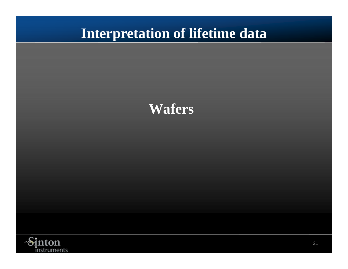# **Interpretation of lifetime data**



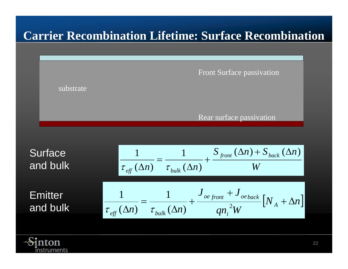# **Carrier Recombination Lifetime: Surface Recombination**



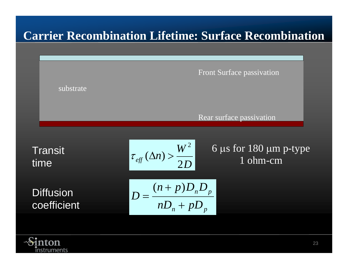# **Carrier Recombination Lifetime: Surface Recombination**



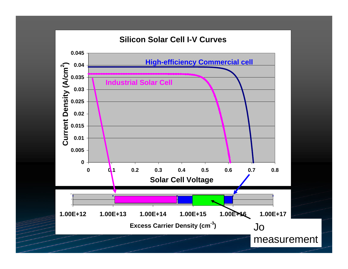#### **Silicon Solar Cell I-V Curves**

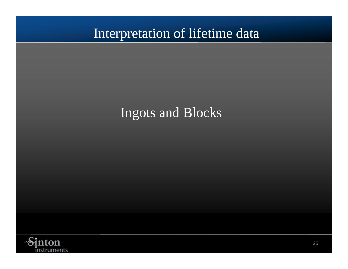# Interpretation of lifetime data

# Ingots and Blocks

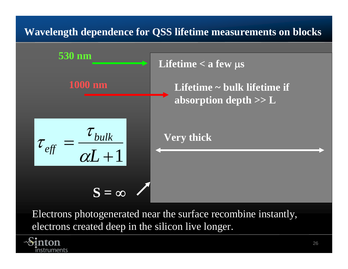## **Wavelength dependence for QSS lifetime measurements on blocks**



Electrons photogenerated near the surface recombine instantly, electrons created deep in the silicon live longer.

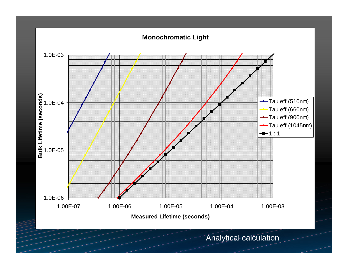#### **Monochromatic Light**



Analytical calculation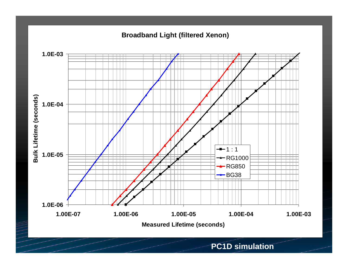**Broadband Light (filtered Xenon)**



**PC1D simulation**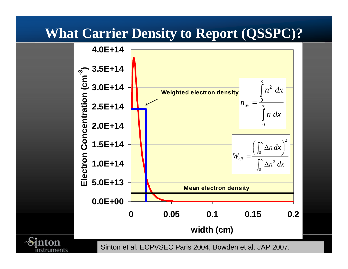# **What Carrier Density to Report (QSSPC)?**



instruments

Sinton et al. ECPVSEC Paris 2004, Bowden et al. JAP 2007.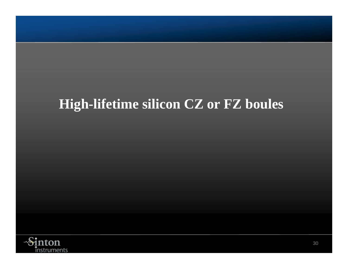# **High-lifetime silicon CZ or FZ boules**

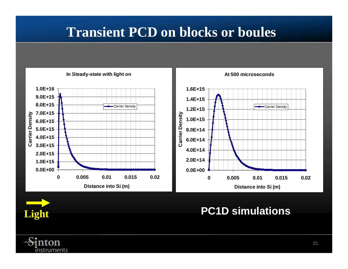# **Transient PCD on blocks or boules**





**PC1D simulations**

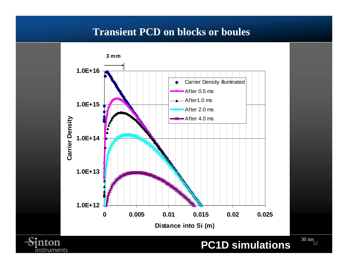### **Transient PCD on blocks or boules**



instruments

**PC1D simulations**

32 30 ms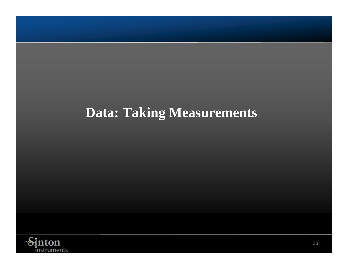# **Data: Taking Measurements**

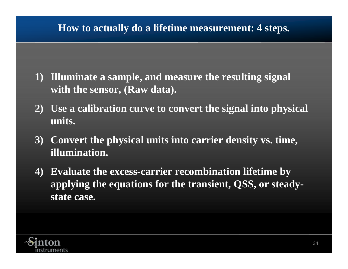## **How to actually do a lifetime measurement: 4 steps.**

- **1) Illuminate a sample, and measure the resulting signal with the sensor, (Raw data).**
- **2) Use a calibration curve to convert the signal into physical units.**
- **3) Convert the physical units into carrier density vs. time, illumination.**
- **4) Evaluate the excess-carrier recombination lifetime by applying the equations for the transient, QSS, or steadystate case.**

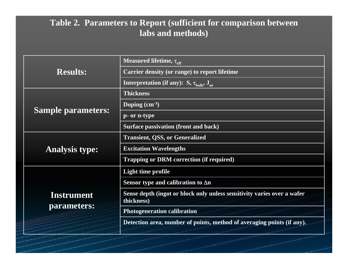### **Table 2. Parameters to Report (sufficient for comparison between labs and methods)**

|                           | Measured lifetime, $\tau_{\text{eff}}$                                                |
|---------------------------|---------------------------------------------------------------------------------------|
| <b>Results:</b>           | Carrier density (or range) to report lifetime                                         |
|                           | <b>Interpretation (if any):</b> S, $\tau_{\text{bulk}}$ , J <sub>oe</sub>             |
|                           | <b>Thickness</b>                                                                      |
|                           | Doping $(cm-3)$                                                                       |
| <b>Sample parameters:</b> | p- or n-type                                                                          |
|                           | <b>Surface passivation (front and back)</b>                                           |
|                           | <b>Transient, QSS, or Generalized</b>                                                 |
| <b>Analysis type:</b>     | <b>Excitation Wavelengths</b>                                                         |
|                           | <b>Trapping or DRM correction (if required)</b>                                       |
|                           | Light time profile                                                                    |
|                           | Sensor type and calibration to $\Delta n$                                             |
| Instrument                | Sense depth (ingot or block only unless sensitivity varies over a wafer<br>thickness) |
| parameters:               | <b>Photogeneration calibration</b>                                                    |
|                           | Detection area, number of points, method of averaging points (if any).                |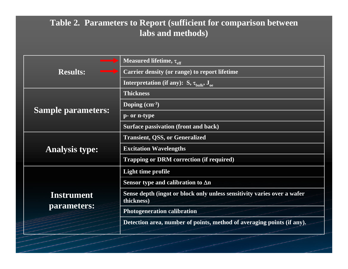### **Table 2. Parameters to Report (sufficient for comparison between labs and methods)**

|                           | Measured lifetime, $\tau_{\text{eff}}$                                                             |
|---------------------------|----------------------------------------------------------------------------------------------------|
| <b>Results:</b>           | Carrier density (or range) to report lifetime                                                      |
|                           | <b>Interpretation (if any):</b> $\overline{S}$ , $\tau_{\text{bulk}}$ , $\overline{J}_{\text{oe}}$ |
|                           | <b>Thickness</b>                                                                                   |
|                           | Doping $(cm-3)$                                                                                    |
| <b>Sample parameters:</b> | p- or n-type                                                                                       |
|                           | <b>Surface passivation (front and back)</b>                                                        |
|                           | <b>Transient, QSS, or Generalized</b>                                                              |
| <b>Analysis type:</b>     | <b>Excitation Wavelengths</b>                                                                      |
|                           | <b>Trapping or DRM correction (if required)</b>                                                    |
|                           | Light time profile                                                                                 |
|                           | Sensor type and calibration to $\Delta n$                                                          |
| <b>Instrument</b>         | Sense depth (ingot or block only unless sensitivity varies over a wafer<br>thickness)              |
| parameters:               | <b>Photogeneration calibration</b>                                                                 |
|                           | Detection area, number of points, method of averaging points (if any).                             |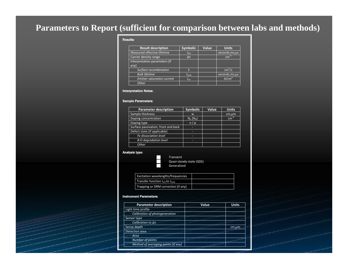### **Parameters to Report (sufficient for comparison between labs and methods)**

#### Results:

| <b>Result description</b>         | <b>Symbolic</b>   | Value | <b>Units</b>         |
|-----------------------------------|-------------------|-------|----------------------|
| Measured effective lifetime       | $T_{\text{eff}}$  |       | $seconds, ms, \mu s$ |
| Carrier density range             | An                |       | $cm^{-3}$            |
| Interpretation parameters [if     |                   |       |                      |
| any                               |                   |       |                      |
| Surface recombination             |                   |       | $cm^2/s$             |
| <b>Bulk lifetime</b>              | $\tau_{\rm bulk}$ |       | seconds, ms, us      |
| <b>Emitter saturation current</b> | $J_{\alpha e}$    |       | A/cm <sup>2</sup>    |
| Other                             |                   |       |                      |

#### Interpretation Notes:

#### Sample Parameters:

| <b>Parameter description</b>        | <b>Symbolic</b> | Value | <b>Units</b> |
|-------------------------------------|-----------------|-------|--------------|
| Sample thickness                    | W               |       | $cm, \mu m$  |
| Doping concentration                | $N_A(N_D)$      |       | $cm^{-3}$    |
| Doping type                         | n/p             |       |              |
| Surface passivation, front and back | ▀               |       |              |
| Defect state [if applicable]        | ▄               |       |              |
| Fe dissociation level               | ▄               |       |              |
| <b>B:O</b> degradation level        | =               |       |              |
| Other                               |                 |       |              |

#### Analysis type:



Quasi‐steady‐state (QSS) Generalized

| Excitation wavelengths/frequencies                            |  |
|---------------------------------------------------------------|--|
| Transfer function $\tau_{\text{eff}}$ to $\tau_{\text{bulk}}$ |  |
| Trapping or DRM correction [if any]                           |  |

#### Instrument Parameters:

| <b>Parameter description</b>        | <b>Value</b> | <b>Units</b> |
|-------------------------------------|--------------|--------------|
| Light time profile                  |              |              |
| Calibration of photogeneration      |              |              |
| Sensor type                         |              |              |
| Calibration to ∆n                   |              |              |
| Sense depth                         |              | $cm, \mu m$  |
| Detection area                      |              |              |
| Area                                |              |              |
| Number of points                    |              |              |
| Method of averaging points [if any] |              |              |
|                                     |              |              |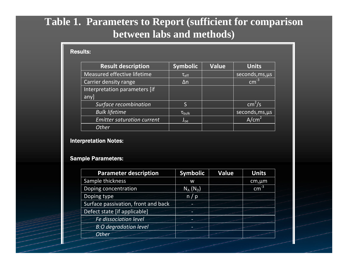## **Table 1. Parameters to Report (sufficient for comparison between labs and methods)**

#### Results:

| <b>Result description</b>         | <b>Symbolic</b>      | <b>Value</b> | <b>Units</b>       |
|-----------------------------------|----------------------|--------------|--------------------|
| Measured effective lifetime       | $\tau_{\text{eff}}$  |              | seconds, ms, us    |
| <b>Carrier density range</b>      | $\Delta n$           |              | $cm-3$             |
| Interpretation parameters [if     |                      |              |                    |
| anyl                              |                      |              |                    |
| Surface recombination             | S                    |              | cm <sup>2</sup> /s |
| <b>Bulk lifetime</b>              | $\tau_{\text{bulk}}$ |              | seconds, ms, us    |
| <b>Emitter saturation current</b> | $J_{oe}$             |              | A/cm <sup>2</sup>  |
| <b>Other</b>                      |                      |              |                    |

#### Interpretation Notes:

#### Sample Parameters:

| <b>Parameter description</b>        | <b>Symbolic</b> | <b>Value</b> | <b>Units</b> |
|-------------------------------------|-----------------|--------------|--------------|
| Sample thickness                    | W               |              | $cm, \mu m$  |
| Doping concentration                | $N_A(N_D)$      |              | $cm-3$       |
| Doping type                         | n/p             |              |              |
| Surface passivation, front and back |                 |              |              |
| Defect state [if applicable]        |                 |              |              |
| Fe dissociation level               |                 |              |              |
| <b>B:O</b> degradation level        |                 |              |              |
| <b>Other</b>                        |                 |              |              |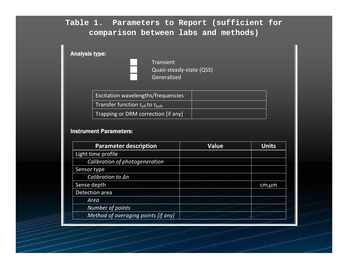### **Table 1. Parameters to Report (sufficient for comparison between labs and methods)**

| <b>Analysis type:</b> | <b>Transient</b>                                              |  |
|-----------------------|---------------------------------------------------------------|--|
|                       | Quasi-steady-state (QSS)<br>Generalized                       |  |
|                       | Excitation wavelengths/frequencies                            |  |
|                       | Transfer function $\tau_{\text{eff}}$ to $\tau_{\text{bulk}}$ |  |
|                       | Trapping or DRM correction [if any]                           |  |

#### Instrument Parameters:

| <b>Parameter description</b>        | <b>Value</b> | <b>Units</b> |
|-------------------------------------|--------------|--------------|
| Light time profile                  |              |              |
| Calibration of photogeneration      |              |              |
| Sensor type                         |              |              |
| Calibration to An                   |              |              |
| Sense depth                         |              | cm,µm        |
| Detection area                      |              |              |
| Area                                |              |              |
| Number of points                    |              |              |
| Method of averaging points [if any] |              |              |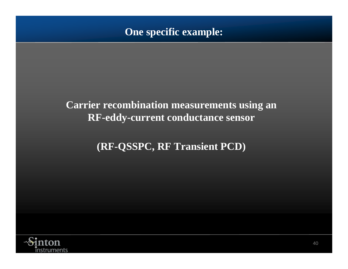### **One specific example:**

## **Carrier recombination measurements using an RF-eddy-current conductance sensor**

# **(RF-QSSPC, RF Transient PCD)**

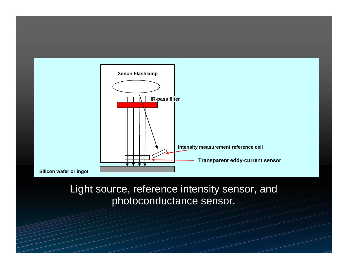

## Light source, reference intensity sensor, and photoconductance sensor.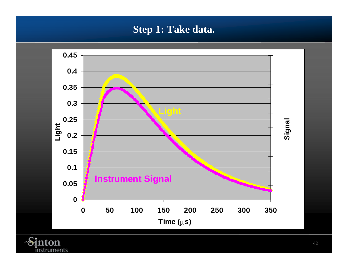### **Step 1: Take data.**



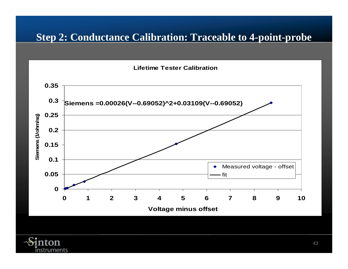## **Step 2: Conductance Calibration: Traceable to 4-point-probe**

**Lifetime Tester Calibration**



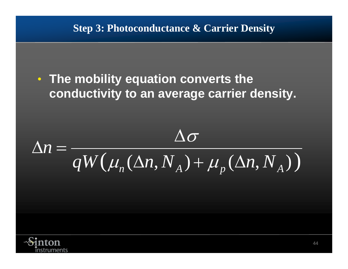• **The mobility equation converts the conductivity to an average carrier density.**

$$
\Delta n = \frac{\Delta \sigma}{qW(\mu_n(\Delta n, N_A) + \mu_p(\Delta n, N_A))}
$$

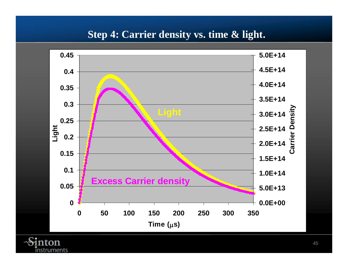### **Step 4: Carrier density vs. time & light.**



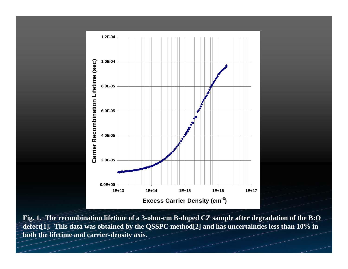

**Fig. 1. The recombination lifetime of a 3-ohm-cm B-doped CZ sample after degradation of the B:O defect[1]. This data was obtained by the QSSPC method[2] and has uncertainties less than 10% in both the lifetime and carrier-density axis.**